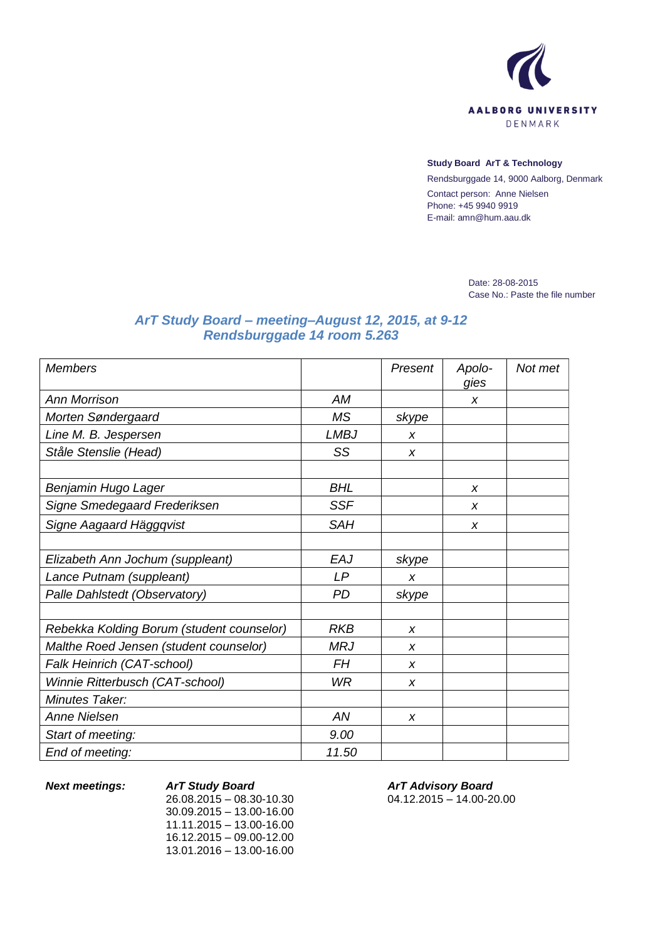

#### **Study Board ArT & Technology**

Rendsburggade 14, 9000 Aalborg, Denmark Contact person: Anne Nielsen Phone: +45 9940 9919 E-mail: amn@hum.aau.dk

> Date: 28-08-2015 Case No.: Paste the file number

# *ArT Study Board – meeting–August 12, 2015, at 9-12 Rendsburggade 14 room 5.263*

| <b>Members</b>                            |             | Present          | Apolo-<br>gies   | Not met |
|-------------------------------------------|-------------|------------------|------------------|---------|
| <b>Ann Morrison</b>                       | AM          |                  | X                |         |
| Morten Søndergaard                        | <b>MS</b>   | skype            |                  |         |
| Line M. B. Jespersen                      | <b>LMBJ</b> | $\boldsymbol{x}$ |                  |         |
| Ståle Stenslie (Head)                     | SS          | X                |                  |         |
|                                           |             |                  |                  |         |
| Benjamin Hugo Lager                       | <b>BHL</b>  |                  | X                |         |
| Signe Smedegaard Frederiksen              | <b>SSF</b>  |                  | $\boldsymbol{x}$ |         |
| Signe Aagaard Häggqvist                   | <b>SAH</b>  |                  | X                |         |
|                                           |             |                  |                  |         |
| Elizabeth Ann Jochum (suppleant)          | EAJ         | skype            |                  |         |
| Lance Putnam (suppleant)                  | LP          | X                |                  |         |
| Palle Dahlstedt (Observatory)             | PD          | skype            |                  |         |
|                                           |             |                  |                  |         |
| Rebekka Kolding Borum (student counselor) | <b>RKB</b>  | X                |                  |         |
| Malthe Roed Jensen (student counselor)    | <b>MRJ</b>  | X                |                  |         |
| Falk Heinrich (CAT-school)                | FΗ          | $\boldsymbol{x}$ |                  |         |
| Winnie Ritterbusch (CAT-school)           | <b>WR</b>   | X                |                  |         |
| Minutes Taker:                            |             |                  |                  |         |
| <b>Anne Nielsen</b>                       | AN          | X                |                  |         |
| Start of meeting:                         | 9.00        |                  |                  |         |
| End of meeting:                           | 11.50       |                  |                  |         |

*Next meetings: ArT Study Board*

26.08.2015 – 08.30-10.30 30.09.2015 – 13.00-16.00 11.11.2015 – 13.00-16.00 16.12.2015 – 09.00-12.00 13.01.2016 – 13.00-16.00

*ArT Advisory Board* 04.12.2015 – 14.00-20.00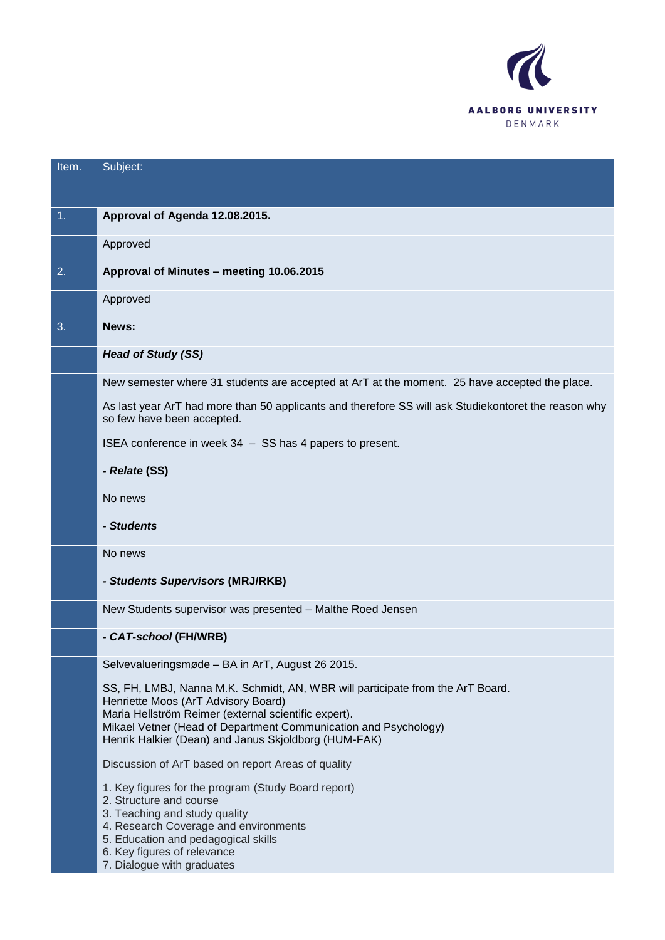

| Item.            | Subject:                                                                                                                                                                                                                                                                                                 |
|------------------|----------------------------------------------------------------------------------------------------------------------------------------------------------------------------------------------------------------------------------------------------------------------------------------------------------|
|                  |                                                                                                                                                                                                                                                                                                          |
| $\overline{1}$ . | Approval of Agenda 12.08.2015.                                                                                                                                                                                                                                                                           |
|                  | Approved                                                                                                                                                                                                                                                                                                 |
| 2.               | Approval of Minutes - meeting 10.06.2015                                                                                                                                                                                                                                                                 |
|                  | Approved                                                                                                                                                                                                                                                                                                 |
| 3.               | News:                                                                                                                                                                                                                                                                                                    |
|                  | <b>Head of Study (SS)</b>                                                                                                                                                                                                                                                                                |
|                  | New semester where 31 students are accepted at ArT at the moment. 25 have accepted the place.                                                                                                                                                                                                            |
|                  | As last year ArT had more than 50 applicants and therefore SS will ask Studiekontoret the reason why<br>so few have been accepted.                                                                                                                                                                       |
|                  | ISEA conference in week 34 - SS has 4 papers to present.                                                                                                                                                                                                                                                 |
|                  | - Relate (SS)                                                                                                                                                                                                                                                                                            |
|                  | No news                                                                                                                                                                                                                                                                                                  |
|                  | - Students                                                                                                                                                                                                                                                                                               |
|                  | No news                                                                                                                                                                                                                                                                                                  |
|                  | - Students Supervisors (MRJ/RKB)                                                                                                                                                                                                                                                                         |
|                  | New Students supervisor was presented - Malthe Roed Jensen                                                                                                                                                                                                                                               |
|                  | - CAT-school (FH/WRB)                                                                                                                                                                                                                                                                                    |
|                  | Selvevalueringsmøde - BA in ArT, August 26 2015.                                                                                                                                                                                                                                                         |
|                  | SS, FH, LMBJ, Nanna M.K. Schmidt, AN, WBR will participate from the ArT Board.<br>Henriette Moos (ArT Advisory Board)<br>Maria Hellström Reimer (external scientific expert).<br>Mikael Vetner (Head of Department Communication and Psychology)<br>Henrik Halkier (Dean) and Janus Skjoldborg (HUM-FAK) |
|                  | Discussion of ArT based on report Areas of quality                                                                                                                                                                                                                                                       |
|                  | 1. Key figures for the program (Study Board report)<br>2. Structure and course<br>3. Teaching and study quality<br>4. Research Coverage and environments<br>5. Education and pedagogical skills<br>6. Key figures of relevance<br>7. Dialogue with graduates                                             |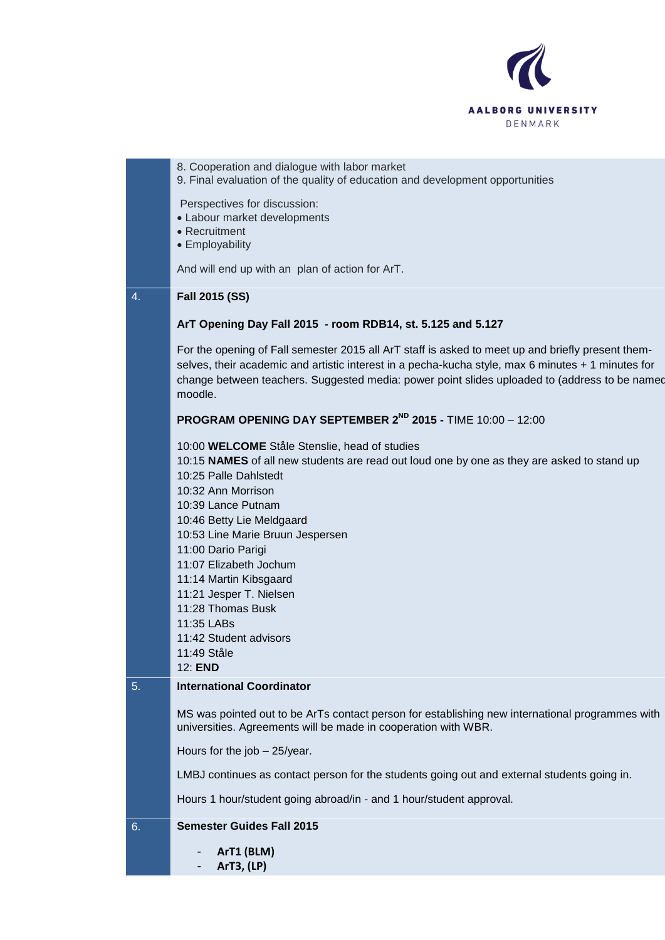

| 6. | <b>Semester Guides Fall 2015</b>                                                                                                                                                                                                                                                                                                                                                                                                                                                                                                                                                                                                                                                                                                                                                                                                                                                                                                                                                                                                                                                                                              |
|----|-------------------------------------------------------------------------------------------------------------------------------------------------------------------------------------------------------------------------------------------------------------------------------------------------------------------------------------------------------------------------------------------------------------------------------------------------------------------------------------------------------------------------------------------------------------------------------------------------------------------------------------------------------------------------------------------------------------------------------------------------------------------------------------------------------------------------------------------------------------------------------------------------------------------------------------------------------------------------------------------------------------------------------------------------------------------------------------------------------------------------------|
|    | Hours 1 hour/student going abroad/in - and 1 hour/student approval.                                                                                                                                                                                                                                                                                                                                                                                                                                                                                                                                                                                                                                                                                                                                                                                                                                                                                                                                                                                                                                                           |
|    | LMBJ continues as contact person for the students going out and external students going in.                                                                                                                                                                                                                                                                                                                                                                                                                                                                                                                                                                                                                                                                                                                                                                                                                                                                                                                                                                                                                                   |
|    | Hours for the job - 25/year.                                                                                                                                                                                                                                                                                                                                                                                                                                                                                                                                                                                                                                                                                                                                                                                                                                                                                                                                                                                                                                                                                                  |
|    | MS was pointed out to be ArTs contact person for establishing new international programmes with<br>universities. Agreements will be made in cooperation with WBR.                                                                                                                                                                                                                                                                                                                                                                                                                                                                                                                                                                                                                                                                                                                                                                                                                                                                                                                                                             |
| 5. | <b>International Coordinator</b>                                                                                                                                                                                                                                                                                                                                                                                                                                                                                                                                                                                                                                                                                                                                                                                                                                                                                                                                                                                                                                                                                              |
| 4. | Perspectives for discussion:<br>• Labour market developments<br>• Recruitment<br>• Employability<br>And will end up with an plan of action for ArT.<br>Fall 2015 (SS)<br>ArT Opening Day Fall 2015 - room RDB14, st. 5.125 and 5.127<br>For the opening of Fall semester 2015 all ArT staff is asked to meet up and briefly present them-<br>selves, their academic and artistic interest in a pecha-kucha style, max 6 minutes + 1 minutes for<br>change between teachers. Suggested media: power point slides uploaded to (address to be named<br>moodle.<br><b>PROGRAM OPENING DAY SEPTEMBER 2<sup>ND</sup> 2015 - TIME 10:00 - 12:00</b><br>10:00 WELCOME Ståle Stenslie, head of studies<br>10:15 NAMES of all new students are read out loud one by one as they are asked to stand up<br>10:25 Palle Dahlstedt<br>10:32 Ann Morrison<br>10:39 Lance Putnam<br>10:46 Betty Lie Meldgaard<br>10:53 Line Marie Bruun Jespersen<br>11:00 Dario Parigi<br>11:07 Elizabeth Jochum<br>11:14 Martin Kibsgaard<br>11:21 Jesper T. Nielsen<br>11:28 Thomas Busk<br>11:35 LABs<br>11:42 Student advisors<br>11:49 Ståle<br>12: END |
|    | 8. Cooperation and dialogue with labor market<br>9. Final evaluation of the quality of education and development opportunities                                                                                                                                                                                                                                                                                                                                                                                                                                                                                                                                                                                                                                                                                                                                                                                                                                                                                                                                                                                                |
|    |                                                                                                                                                                                                                                                                                                                                                                                                                                                                                                                                                                                                                                                                                                                                                                                                                                                                                                                                                                                                                                                                                                                               |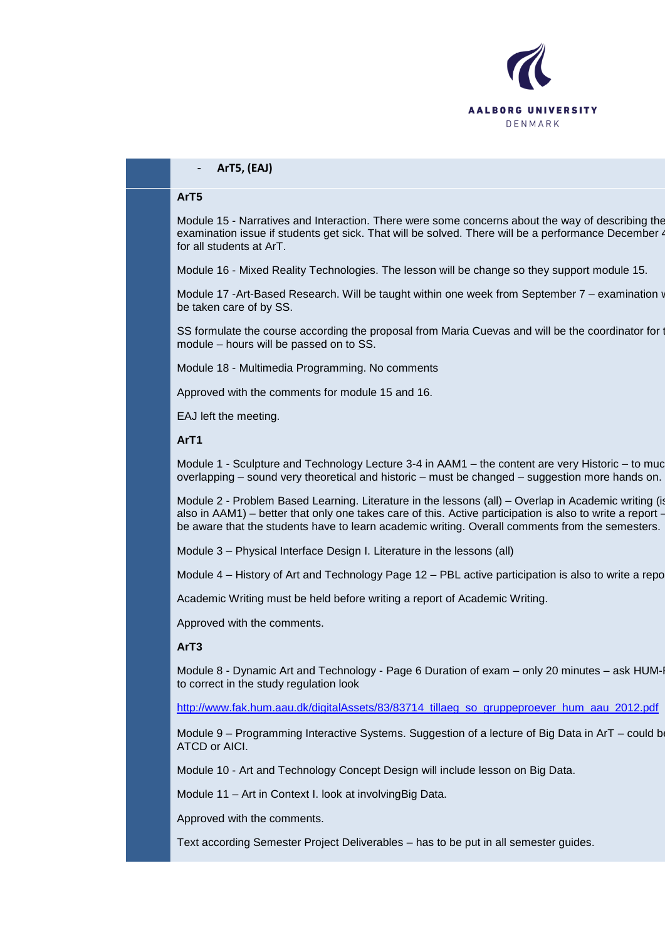

## - **ArT5, (EAJ)**

#### **ArT5**

Module 15 - Narratives and Interaction. There were some concerns about the way of describing the examination issue if students get sick. That will be solved. There will be a performance December 4 for all students at ArT.

Module 16 - Mixed Reality Technologies. The lesson will be change so they support module 15.

Module 17 -Art-Based Research. Will be taught within one week from September 7 – examination w be taken care of by SS.

SS formulate the course according the proposal from Maria Cuevas and will be the coordinator for module – hours will be passed on to SS.

Module 18 - Multimedia Programming. No comments

Approved with the comments for module 15 and 16.

EAJ left the meeting.

## **ArT1**

Module 1 - Sculpture and Technology Lecture 3-4 in AAM1 – the content are very Historic – to muc overlapping – sound very theoretical and historic – must be changed – suggestion more hands on.

Module 2 - Problem Based Learning. Literature in the lessons (all) – Overlap in Academic writing (is also in AAM1) – better that only one takes care of this. Active participation is also to write a report – be aware that the students have to learn academic writing. Overall comments from the semesters.

Module 3 – Physical Interface Design I. Literature in the lessons (all)

Module 4 – History of Art and Technology Page 12 – PBL active participation is also to write a report.

Academic Writing must be held before writing a report of Academic Writing.

Approved with the comments.

### **ArT3**

Module 8 - Dynamic Art and Technology - Page 6 Duration of exam – only 20 minutes – ask HUMto correct in the study regulation look

[http://www.fak.hum.aau.dk/digitalAssets/83/83714\\_tillaeg\\_so\\_gruppeproever\\_hum\\_aau\\_2012.pdf](http://www.fak.hum.aau.dk/digitalAssets/83/83714_tillaeg_so_gruppeproever_hum_aau_2012.pdf)

Module 9 – Programming Interactive Systems. Suggestion of a lecture of Big Data in ArT – could b ATCD or AICI.

Module 10 - Art and Technology Concept Design will include lesson on Big Data.

Module 11 – Art in Context I. look at involvingBig Data.

Approved with the comments.

Text according Semester Project Deliverables – has to be put in all semester guides.